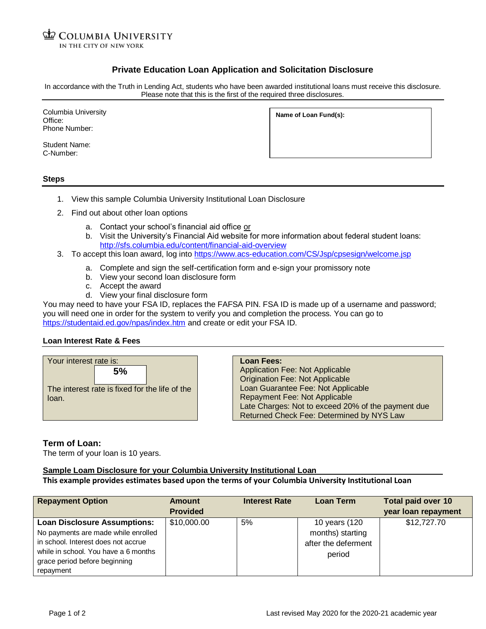**COLUMBIA UNIVERSITY** IN THE CITY OF NEW YORK

# **Private Education Loan Application and Solicitation Disclosure**

In accordance with the Truth in Lending Act, students who have been awarded institutional loans must receive this disclosure. Please note that this is the first of the required three disclosures.

Columbia University Office: Phone Number:

**Name of Loan Fund(s):**

Student Name: C-Number:

#### **Steps**

- 1. View this sample Columbia University Institutional Loan Disclosure
- 2. Find out about other loan options
	- a. Contact your school's financial aid office or
	- b. Visit the University's Financial Aid website for more information about federal student loans: <http://sfs.columbia.edu/content/financial-aid-overview>
- 3. To accept this loan award, log int[o https://www.acs-education.com/CS/Jsp/cpsesign/welcome.jsp](https://www.acs-education.com/CS/Jsp/cpsesign/welcome.jsp)
	- a. Complete and sign the self-certification form and e-sign your promissory note
	- b. View your second loan disclosure form
	- c. Accept the award
	- d. View your final disclosure form

You may need to have your FSA ID, replaces the FAFSA PIN. FSA ID is made up of a username and password; you will need one in order for the system to verify you and completion the process. You can go to <https://studentaid.ed.gov/npas/index.htm> and create or edit your FSA ID.

#### **Loan Interest Rate & Fees**



**Loan Fees:** Application Fee: Not Applicable Origination Fee: Not Applicable Loan Guarantee Fee: Not Applicable Repayment Fee: Not Applicable Late Charges: Not to exceed 20% of the payment due Returned Check Fee: Determined by NYS Law

## **Term of Loan:**

The term of your loan is 10 years.

## **Sample Loam Disclosure for your Columbia University Institutional Loan**

### **This example provides estimates based upon the terms of your Columbia University Institutional Loan**

| <b>Repayment Option</b>                                                                                                                                                                                 | <b>Amount</b><br><b>Provided</b> | <b>Interest Rate</b> | Loan Term                                                          | <b>Total paid over 10</b><br>year loan repayment |
|---------------------------------------------------------------------------------------------------------------------------------------------------------------------------------------------------------|----------------------------------|----------------------|--------------------------------------------------------------------|--------------------------------------------------|
| <b>Loan Disclosure Assumptions:</b><br>No payments are made while enrolled<br>in school. Interest does not accrue<br>while in school. You have a 6 months<br>grace period before beginning<br>repayment | \$10,000.00                      | 5%                   | 10 years (120<br>months) starting<br>after the deferment<br>period | \$12,727.70                                      |